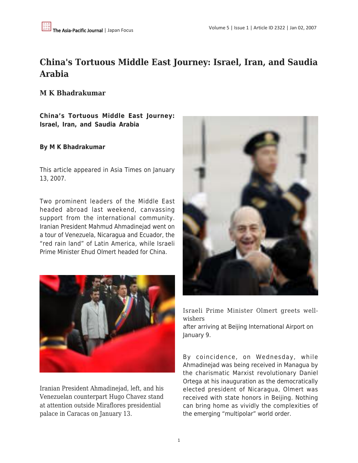## **China's Tortuous Middle East Journey: Israel, Iran, and Saudia Arabia**

**M K Bhadrakumar**

**China's Tortuous Middle East Journey: Israel, Iran, and Saudia Arabia**

## **By M K Bhadrakumar**

This article appeared in Asia Times on January 13, 2007.

Two prominent leaders of the Middle East headed abroad last weekend, canvassing support from the international community. Iranian President Mahmud Ahmadinejad went on a tour of Venezuela, Nicaragua and Ecuador, the "red rain land" of Latin America, while Israeli Prime Minister Ehud Olmert headed for China.



Iranian President Ahmadinejad, left, and his Venezuelan counterpart Hugo Chavez stand at attention outside Miraflores presidential palace in Caracas on January 13.



Israeli Prime Minister Olmert greets wellwishers after arriving at Beijing International Airport on January 9.

By coincidence, on Wednesday, while Ahmadinejad was being received in Managua by the charismatic Marxist revolutionary Daniel Ortega at his inauguration as the democratically elected president of Nicaragua, Olmert was received with state honors in Beijing. Nothing can bring home as vividly the complexities of the emerging "multipolar" world order.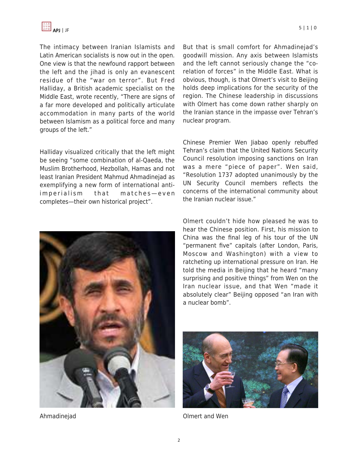

The intimacy between Iranian Islamists and Latin American socialists is now out in the open. One view is that the newfound rapport between the left and the jihad is only an evanescent residue of the "war on terror". But Fred Halliday, a British academic specialist on the Middle East, wrote recently, "There are signs of a far more developed and politically articulate accommodation in many parts of the world between Islamism as a political force and many groups of the left."

Halliday visualized critically that the left might be seeing "some combination of al-Qaeda, the Muslim Brotherhood, Hezbollah, Hamas and not least Iranian President Mahmud Ahmadinejad as exemplifying a new form of international antiimperialism that matches—even completes—their own historical project".



Ahmadinejad

But that is small comfort for Ahmadinejad's goodwill mission. Any axis between Islamists and the left cannot seriously change the "corelation of forces" in the Middle East. What is obvious, though, is that Olmert's visit to Beijing holds deep implications for the security of the region. The Chinese leadership in discussions with Olmert has come down rather sharply on the Iranian stance in the impasse over Tehran's nuclear program.

Chinese Premier Wen Jiabao openly rebuffed Tehran's claim that the United Nations Security Council resolution imposing sanctions on Iran was a mere "piece of paper". Wen said, "Resolution 1737 adopted unanimously by the UN Security Council members reflects the concerns of the international community about the Iranian nuclear issue."

Olmert couldn't hide how pleased he was to hear the Chinese position. First, his mission to China was the final leg of his tour of the UN "permanent five" capitals (after London, Paris, Moscow and Washington) with a view to ratcheting up international pressure on Iran. He told the media in Beijing that he heard "many surprising and positive things" from Wen on the Iran nuclear issue, and that Wen "made it absolutely clear" Beijing opposed "an Iran with a nuclear bomb".



Olmert and Wen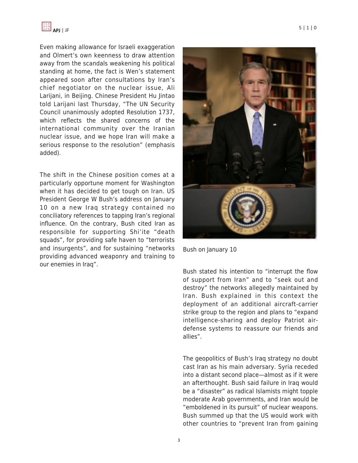Even making allowance for Israeli exaggeration and Olmert's own keenness to draw attention away from the scandals weakening his political standing at home, the fact is Wen's statement appeared soon after consultations by Iran's chief negotiator on the nuclear issue, Ali Larijani, in Beijing. Chinese President Hu Jintao told Larijani last Thursday, "The UN Security Council unanimously adopted Resolution 1737, which reflects the shared concerns of the international community over the Iranian nuclear issue, and we hope Iran will make a serious response to the resolution" (emphasis added).

The shift in the Chinese position comes at a particularly opportune moment for Washington when it has decided to get tough on Iran. US President George W Bush's address on January 10 on a new Iraq strategy contained no conciliatory references to tapping Iran's regional influence. On the contrary, Bush cited Iran as responsible for supporting Shi'ite "death squads", for providing safe haven to "terrorists and insurgents", and for sustaining "networks providing advanced weaponry and training to our enemies in Iraq".



Bush on January 10

Bush stated his intention to "interrupt the flow of support from Iran" and to "seek out and destroy" the networks allegedly maintained by Iran. Bush explained in this context the deployment of an additional aircraft-carrier strike group to the region and plans to "expand intelligence-sharing and deploy Patriot airdefense systems to reassure our friends and allies".

The geopolitics of Bush's Iraq strategy no doubt cast Iran as his main adversary. Syria receded into a distant second place—almost as if it were an afterthought. Bush said failure in Iraq would be a "disaster" as radical Islamists might topple moderate Arab governments, and Iran would be "emboldened in its pursuit" of nuclear weapons. Bush summed up that the US would work with other countries to "prevent Iran from gaining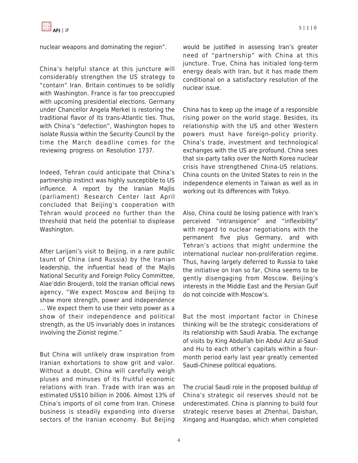nuclear weapons and dominating the region".

China's helpful stance at this juncture will considerably strengthen the US strategy to "contain" Iran. Britain continues to be solidly with Washington. France is far too preoccupied with upcoming presidential elections. Germany under Chancellor Angela Merkel is restoring the traditional flavor of its trans-Atlantic ties. Thus, with China's "defection", Washington hopes to isolate Russia within the Security Council by the time the March deadline comes for the reviewing progress on Resolution 1737.

Indeed, Tehran could anticipate that China's partnership instinct was highly susceptible to US influence. A report by the Iranian Majlis (parliament) Research Center last April concluded that Beijing's cooperation with Tehran would proceed no further than the threshold that held the potential to displease Washington.

After Larijani's visit to Beijing, in a rare public taunt of China (and Russia) by the Iranian leadership, the influential head of the Majlis National Security and Foreign Policy Committee, Alae'ddin Broujerdi, told the Iranian official news agency, "We expect Moscow and Beijing to show more strength, power and independence ... We expect them to use their veto power as a show of their independence and political strength, as the US invariably does in instances involving the Zionist regime."

But China will unlikely draw inspiration from Iranian exhortations to show grit and valor. Without a doubt, China will carefully weigh pluses and minuses of its fruitful economic relations with Iran. Trade with Iran was an estimated US\$10 billion in 2006. Almost 13% of China's imports of oil come from Iran. Chinese business is steadily expanding into diverse sectors of the Iranian economy. But Beijing would be justified in assessing Iran's greater need of "partnership" with China at this juncture. True, China has initialed long-term energy deals with Iran, but it has made them conditional on a satisfactory resolution of the nuclear issue.

China has to keep up the image of a responsible rising power on the world stage. Besides, its relationship with the US and other Western powers must have foreign-policy priority. China's trade, investment and technological exchanges with the US are profound. China sees that six-party talks over the North Korea nuclear crisis have strengthened China-US relations. China counts on the United States to rein in the independence elements in Taiwan as well as in working out its differences with Tokyo.

Also, China could be losing patience with Iran's perceived "intransigence" and "inflexibility" with regard to nuclear negotiations with the permanent five plus Germany, and with Tehran's actions that might undermine the international nuclear non-proliferation regime. Thus, having largely deferred to Russia to take the initiative on Iran so far, China seems to be gently disengaging from Moscow. Beijing's interests in the Middle East and the Persian Gulf do not coincide with Moscow's.

But the most important factor in Chinese thinking will be the strategic considerations of its relationship with Saudi Arabia. The exchange of visits by King Abdullah bin Abdul Aziz al-Saud and Hu to each other's capitals within a fourmonth period early last year greatly cemented Saudi-Chinese political equations.

The crucial Saudi role in the proposed buildup of China's strategic oil reserves should not be underestimated. China is planning to build four strategic reserve bases at Zhenhai, Daishan, Xingang and Huangdao, which when completed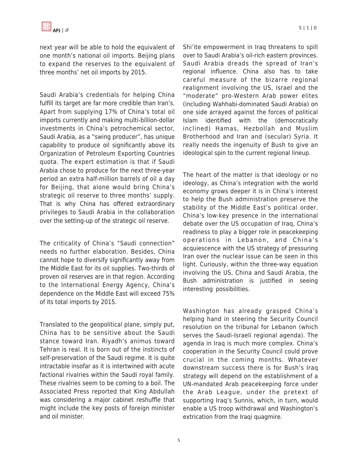next year will be able to hold the equivalent of one month's national oil imports. Beijing plans to expand the reserves to the equivalent of three months' net oil imports by 2015.

Saudi Arabia's credentials for helping China fulfill its target are far more credible than Iran's. Apart from supplying 17% of China's total oil imports currently and making multi-billion-dollar investments in China's petrochemical sector, Saudi Arabia, as a "swing producer", has unique capability to produce oil significantly above its Organization of Petroleum Exporting Countries quota. The expert estimation is that if Saudi Arabia chose to produce for the next three-year period an extra half-million barrels of oil a day for Beijing, that alone would bring China's strategic oil reserve to three months' supply. That is why China has offered extraordinary privileges to Saudi Arabia in the collaboration over the setting-up of the strategic oil reserve.

The criticality of China's "Saudi connection" needs no further elaboration. Besides, China cannot hope to diversify significantly away from the Middle East for its oil supplies. Two-thirds of proven oil reserves are in that region. According to the International Energy Agency, China's dependence on the Middle East will exceed 75% of its total imports by 2015.

Translated to the geopolitical plane, simply put, China has to be sensitive about the Saudi stance toward Iran. Riyadh's animus toward Tehran is real. It is born out of the instincts of self-preservation of the Saudi regime. It is quite intractable insofar as it is intertwined with acute factional rivalries within the Saudi royal family. These rivalries seem to be coming to a boil. The Associated Press reported that King Abdullah was considering a major cabinet reshuffle that might include the key posts of foreign minister and oil minister.

Shi'ite empowerment in Iraq threatens to spill over to Saudi Arabia's oil-rich eastern provinces. Saudi Arabia dreads the spread of Iran's regional influence. China also has to take careful measure of the bizarre regional realignment involving the US, Israel and the "moderate" pro-Western Arab power elites (including Wahhabi-dominated Saudi Arabia) on one side arrayed against the forces of political Islam identified with the (democratically inclined) Hamas, Hezbollah and Muslim Brotherhood and Iran and (secular) Syria. It really needs the ingenuity of Bush to give an ideological spin to the current regional lineup.

The heart of the matter is that ideology or no ideology, as China's integration with the world economy grows deeper it is in China's interest to help the Bush administration preserve the stability of the Middle East's political order. China's low-key presence in the international debate over the US occupation of Iraq, China's readiness to play a bigger role in peacekeeping operations in Lebanon, and China's acquiescence with the US strategy of pressuring Iran over the nuclear issue can be seen in this light. Curiously, within the three-way equation involving the US, China and Saudi Arabia, the Bush administration is justified in seeing interesting possibilities.

Washington has already grasped China's helping hand in steering the Security Council resolution on the tribunal for Lebanon (which serves the Saudi-Israeli regional agenda). The agenda in Iraq is much more complex. China's cooperation in the Security Council could prove crucial in the coming months. Whatever downstream success there is for Bush's Iraq strategy will depend on the establishment of a UN-mandated Arab peacekeeping force under the Arab League, under the pretext of supporting Iraq's Sunnis, which, in turn, would enable a US troop withdrawal and Washington's extrication from the Iraqi quagmire.